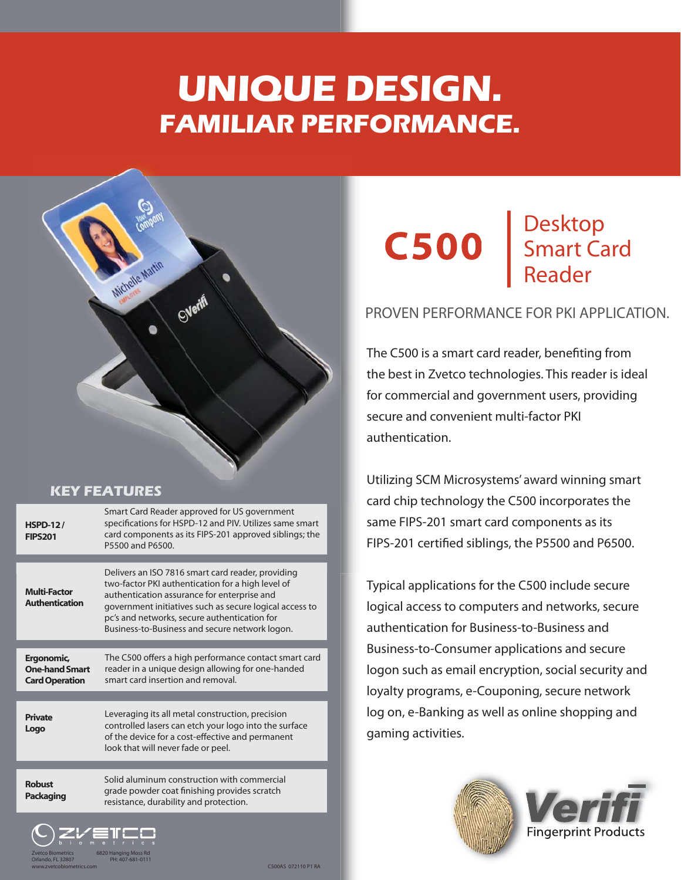# **UNIQUE DESIGN. FAMILIAR PERFORMANCE.**



## **KEY FEATURES**

Zvetco Biometrics 6820 Hanging Moss Rd Orlando, FL 32807 PH: 407-681-0111

Ergonomic, One-hand Smart Card Operation The C500 offers a high performance contact smart card reader in a unique design allowing for one-handed smart card insertion and removal. Multi-Factor Authentication Delivers an ISO 7816 smart card reader, providing Delivers an ISO 7816 smart card reader providing two-factor PKI authentication for a high level of authentication assurance for enterprise and government initiatives such as secure logical access to pc's and networks, secure authentication for Business-to-Business and secure network logon. HSPD-12 / FIPS201 Smart Card Reader approved for US government specifications for HSPD-12 and PIV. Utilizes same smart specifications for HSPD-12 and PIV. Utilizes same smart<br>card components as its FIPS-201 approved siblings; the P5500 and P6500. Private Logo Leveraging its all metal construction, precision controlled lasers can etch your logo into the surface of the device for a cost-effective and permanent look that will never fade or peel. Solid aluminum construction with commercial grade powder coat finishing provides scratch resistance, durability and protection. Robust Packaging



#### Desktop Smart Card Reader D S R

# PROVEN PERFORMANCE FOR PKI APPLICATION.

The C500 is a smart card reader, benefiting from the best in Zvetco technologies. This reader is ideal for commercial and government users, providing secure and convenient multi-factor PKI authentication.

Utilizing SCM Microsystems' award winning smart card chip technology the C500 incorporates the C50 same FIPS-201 smart card components as its FIPS-201 certified siblings, the P5500 and P6500.

Typical applications for the C500 include secure logical access to computers and networks, secure authentication for Business-to-Business and Business-to-Consumer applications and secure logon such as email encryption, social security and loyalty programs, e-Couponing, secure network log on, e-Banking as well as online shopping and gaming activities.



C500AS 072110 P1 RA